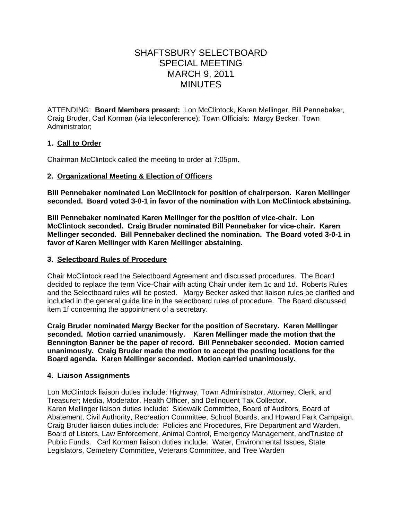# SHAFTSBURY SELECTBOARD SPECIAL MEETING MARCH 9, 2011 **MINUTES**

ATTENDING: **Board Members present:** Lon McClintock, Karen Mellinger, Bill Pennebaker, Craig Bruder, Carl Korman (via teleconference); Town Officials: Margy Becker, Town Administrator;

# **1. Call to Order**

Chairman McClintock called the meeting to order at 7:05pm.

# **2. Organizational Meeting & Election of Officers**

**Bill Pennebaker nominated Lon McClintock for position of chairperson. Karen Mellinger seconded. Board voted 3-0-1 in favor of the nomination with Lon McClintock abstaining.**

**Bill Pennebaker nominated Karen Mellinger for the position of vice-chair. Lon McClintock seconded. Craig Bruder nominated Bill Pennebaker for vice-chair. Karen Mellinger seconded. Bill Pennebaker declined the nomination. The Board voted 3-0-1 in favor of Karen Mellinger with Karen Mellinger abstaining.**

## **3. Selectboard Rules of Procedure**

Chair McClintock read the Selectboard Agreement and discussed procedures. The Board decided to replace the term Vice-Chair with acting Chair under item 1c and 1d. Roberts Rules and the Selectboard rules will be posted. Margy Becker asked that liaison rules be clarified and included in the general guide line in the selectboard rules of procedure. The Board discussed item 1f concerning the appointment of a secretary.

**Craig Bruder nominated Margy Becker for the position of Secretary. Karen Mellinger seconded. Motion carried unanimously. Karen Mellinger made the motion that the Bennington Banner be the paper of record. Bill Pennebaker seconded. Motion carried unanimously. Craig Bruder made the motion to accept the posting locations for the Board agenda. Karen Mellinger seconded. Motion carried unanimously.**

### **4. Liaison Assignments**

Lon McClintock liaison duties include: Highway, Town Administrator, Attorney, Clerk, and Treasurer; Media, Moderator, Health Officer, and Delinquent Tax Collector. Karen Mellinger liaison duties include: Sidewalk Committee, Board of Auditors, Board of Abatement, Civil Authority, Recreation Committee, School Boards, and Howard Park Campaign. Craig Bruder liaison duties include: Policies and Procedures, Fire Department and Warden, Board of Listers, Law Enforcement, Animal Control, Emergency Management, andTrustee of Public Funds. Carl Korman liaison duties include: Water, Environmental Issues, State Legislators, Cemetery Committee, Veterans Committee, and Tree Warden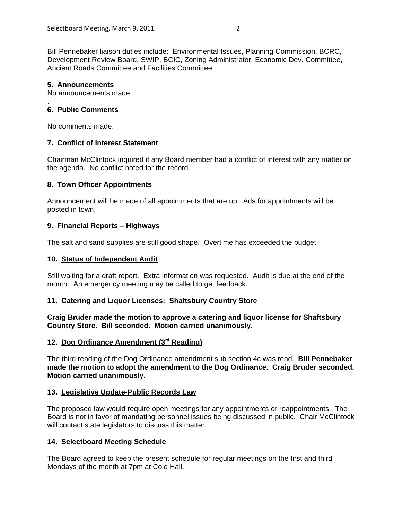Bill Pennebaker liaison duties include: Environmental Issues, Planning Commission, BCRC, Development Review Board, SWIP, BCIC, Zoning Administrator, Economic Dev. Committee, Ancient Roads Committee and Facilities Committee.

## **5. Announcements**

.

No announcements made.

# **6. Public Comments**

No comments made.

# **7. Conflict of Interest Statement**

Chairman McClintock inquired if any Board member had a conflict of interest with any matter on the agenda. No conflict noted for the record.

## **8. Town Officer Appointments**

Announcement will be made of all appointments that are up. Ads for appointments will be posted in town.

# **9. Financial Reports – Highways**

The salt and sand supplies are still good shape. Overtime has exceeded the budget.

## **10. Status of Independent Audit**

Still waiting for a draft report. Extra information was requested. Audit is due at the end of the month. An emergency meeting may be called to get feedback.

### **11. Catering and Liquor Licenses: Shaftsbury Country Store**

**Craig Bruder made the motion to approve a catering and liquor license for Shaftsbury Country Store. Bill seconded. Motion carried unanimously.**

### 12. Dog Ordinance Amendment (3<sup>rd</sup> Reading)

The third reading of the Dog Ordinance amendment sub section 4c was read. **Bill Pennebaker made the motion to adopt the amendment to the Dog Ordinance. Craig Bruder seconded. Motion carried unanimously.**

### **13. Legislative Update-Public Records Law**

The proposed law would require open meetings for any appointments or reappointments. The Board is not in favor of mandating personnel issues being discussed in public. Chair McClintock will contact state legislators to discuss this matter.

# **14. Selectboard Meeting Schedule**

The Board agreed to keep the present schedule for regular meetings on the first and third Mondays of the month at 7pm at Cole Hall.